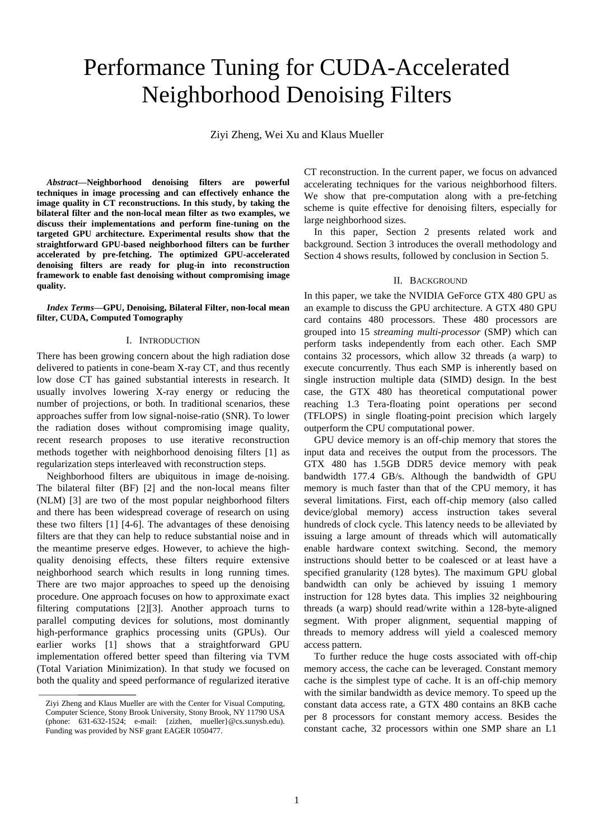# Performance Tuning for CUDA-Accelerated Neighborhood Denoising Filters

Ziyi Zheng, Wei Xu and Klaus Mueller

*Abstract***—Neighborhood denoising filters are powerful techniques in image processing and can effectively enhance the image quality in CT reconstructions. In this study, by taking the bilateral filter and the non-local mean filter as two examples, we discuss their implementations and perform fine-tuning on the targeted GPU architecture. Experimental results show that the straightforward GPU-based neighborhood filters can be further accelerated by pre-fetching. The optimized GPU-accelerated denoising filters are ready for plug-in into reconstruction framework to enable fast denoising without compromising image quality.**

*Index Terms***—GPU, Denoising, Bilateral Filter, non-local mean filter, CUDA, Computed Tomography**

#### I. INTRODUCTION

There has been growing concern about the high radiation dose delivered to patients in cone-beam X-ray CT, and thus recently low dose CT has gained substantial interests in research. It usually involves lowering X-ray energy or reducing the number of projections, or both. In traditional scenarios, these approaches suffer from low signal-noise-ratio (SNR). To lower the radiation doses without compromising image quality, recent research proposes to use iterative reconstruction methods together with neighborhood denoising filters [1] as regularization steps interleaved with reconstruction steps.

Neighborhood filters are ubiquitous in image de-noising. The bilateral filter (BF) [2] and the non-local means filter (NLM) [3] are two of the most popular neighborhood filters and there has been widespread coverage of research on using these two filters [1] [4-6]. The advantages of these denoising filters are that they can help to reduce substantial noise and in the meantime preserve edges. However, to achieve the highquality denoising effects, these filters require extensive neighborhood search which results in long running times. There are two major approaches to speed up the denoising procedure. One approach focuses on how to approximate exact filtering computations [2][3]. Another approach turns to parallel computing devices for solutions, most dominantly high-performance graphics processing units (GPUs). Our earlier works [1] shows that a straightforward GPU implementation offered better speed than filtering via TVM (Total Variation Minimization). In that study we focused on both the quality and speed performance of regularized iterative CT reconstruction. In the current paper, we focus on advanced accelerating techniques for the various neighborhood filters. We show that pre-computation along with a pre-fetching scheme is quite effective for denoising filters, especially for large neighborhood sizes.

In this paper, Section 2 presents related work and background. Section 3 introduces the overall methodology and Section 4 shows results, followed by conclusion in Section 5.

# II. BACKGROUND

In this paper, we take the NVIDIA GeForce GTX 480 GPU as an example to discuss the GPU architecture. A GTX 480 GPU card contains 480 processors. These 480 processors are grouped into 15 *streaming multi-processor* (SMP) which can perform tasks independently from each other. Each SMP contains 32 processors, which allow 32 threads (a warp) to execute concurrently. Thus each SMP is inherently based on single instruction multiple data (SIMD) design. In the best case, the GTX 480 has theoretical computational power reaching 1.3 Tera-floating point operations per second (TFLOPS) in single floating-point precision which largely outperform the CPU computational power.

GPU device memory is an off-chip memory that stores the input data and receives the output from the processors. The GTX 480 has 1.5GB DDR5 device memory with peak bandwidth 177.4 GB/s. Although the bandwidth of GPU memory is much faster than that of the CPU memory, it has several limitations. First, each off-chip memory (also called device/global memory) access instruction takes several hundreds of clock cycle. This latency needs to be alleviated by issuing a large amount of threads which will automatically enable hardware context switching. Second, the memory instructions should better to be coalesced or at least have a specified granularity (128 bytes). The maximum GPU global bandwidth can only be achieved by issuing 1 memory instruction for 128 bytes data. This implies 32 neighbouring threads (a warp) should read/write within a 128-byte-aligned segment. With proper alignment, sequential mapping of threads to memory address will yield a coalesced memory access pattern.

To further reduce the huge costs associated with off-chip memory access, the cache can be leveraged. Constant memory cache is the simplest type of cache. It is an off-chip memory with the similar bandwidth as device memory. To speed up the constant data access rate, a GTX 480 contains an 8KB cache per 8 processors for constant memory access. Besides the constant cache, 32 processors within one SMP share an L1

Ziyi Zheng and Klaus Mueller are with the Center for Visual Computing, Computer Science, Stony Brook University, Stony Brook, NY 11790 USA (phone: 631-632-1524; e-mail: {zizhen, mueller}@cs.sunysb.edu). Funding was provided by NSF grant EAGER 1050477.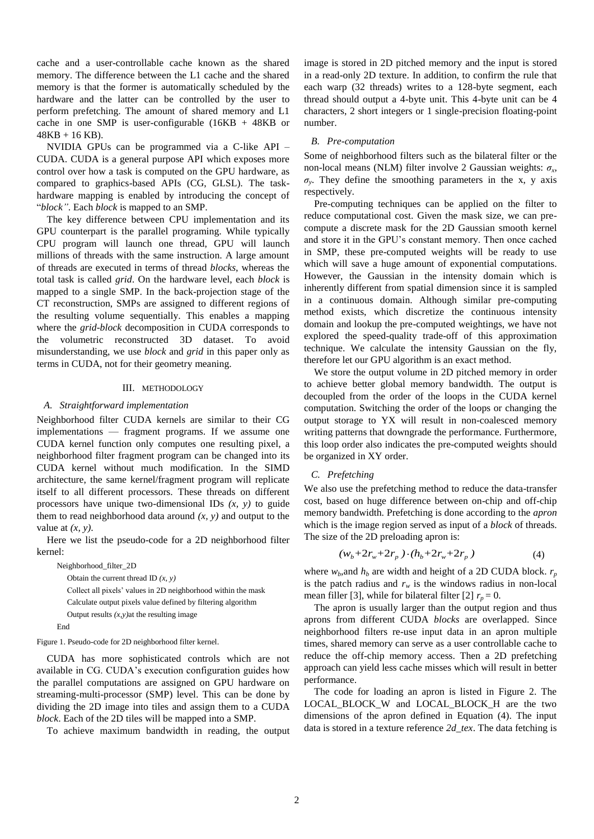cache and a user-controllable cache known as the shared memory. The difference between the L1 cache and the shared memory is that the former is automatically scheduled by the hardware and the latter can be controlled by the user to perform prefetching. The amount of shared memory and L1 cache in one SMP is user-configurable  $(16KB + 48KB)$  or 48KB + 16 KB).

NVIDIA GPUs can be programmed via a C-like API – CUDA. CUDA is a general purpose API which exposes more control over how a task is computed on the GPU hardware, as compared to graphics-based APIs (CG, GLSL). The taskhardware mapping is enabled by introducing the concept of ―*block"*. Each *block* is mapped to an SMP.

The key difference between CPU implementation and its GPU counterpart is the parallel programing. While typically CPU program will launch one thread, GPU will launch millions of threads with the same instruction. A large amount of threads are executed in terms of thread *blocks*, whereas the total task is called *grid*. On the hardware level, each *block* is mapped to a single SMP. In the back-projection stage of the CT reconstruction, SMPs are assigned to different regions of the resulting volume sequentially. This enables a mapping where the *grid*-*block* decomposition in CUDA corresponds to the volumetric reconstructed 3D dataset. To avoid misunderstanding, we use *block* and *grid* in this paper only as terms in CUDA, not for their geometry meaning.

### III. METHODOLOGY

## *A. Straightforward implementation*

Neighborhood filter CUDA kernels are similar to their CG implementations — fragment programs. If we assume one CUDA kernel function only computes one resulting pixel, a neighborhood filter fragment program can be changed into its CUDA kernel without much modification. In the SIMD architecture, the same kernel/fragment program will replicate itself to all different processors. These threads on different processors have unique two-dimensional IDs *(x, y)* to guide them to read neighborhood data around  $(x, y)$  and output to the value at *(x, y)*.

Here we list the pseudo-code for a 2D neighborhood filter kernel:

Neighborhood\_filter\_2D

Obtain the current thread ID *(x, y)* Collect all pixels' values in 2D neighborhood within the mask Calculate output pixels value defined by filtering algorithm Output results *(x,y)*at the resulting image

End

Figure 1. Pseudo-code for 2D neighborhood filter kernel.

CUDA has more sophisticated controls which are not available in CG. CUDA's execution configuration guides how the parallel computations are assigned on GPU hardware on streaming-multi-processor (SMP) level. This can be done by dividing the 2D image into tiles and assign them to a CUDA *block*. Each of the 2D tiles will be mapped into a SMP.

To achieve maximum bandwidth in reading, the output

image is stored in 2D pitched memory and the input is stored in a read-only 2D texture. In addition, to confirm the rule that each warp (32 threads) writes to a 128-byte segment, each thread should output a 4-byte unit. This 4-byte unit can be 4 characters, 2 short integers or 1 single-precision floating-point number.

## *B. Pre-computation*

Some of neighborhood filters such as the bilateral filter or the non-local means (NLM) filter involve 2 Gaussian weights: *σ<sup>x</sup>* ,  $\sigma_y$ . They define the smoothing parameters in the x, y axis respectively.

Pre-computing techniques can be applied on the filter to reduce computational cost. Given the mask size, we can precompute a discrete mask for the 2D Gaussian smooth kernel and store it in the GPU's constant memory. Then once cached in SMP, these pre-computed weights will be ready to use which will save a huge amount of exponential computations. However, the Gaussian in the intensity domain which is inherently different from spatial dimension since it is sampled in a continuous domain. Although similar pre-computing method exists, which discretize the continuous intensity domain and lookup the pre-computed weightings, we have not explored the speed-quality trade-off of this approximation technique. We calculate the intensity Gaussian on the fly, therefore let our GPU algorithm is an exact method.

We store the output volume in 2D pitched memory in order to achieve better global memory bandwidth. The output is decoupled from the order of the loops in the CUDA kernel computation. Switching the order of the loops or changing the output storage to YX will result in non-coalesced memory writing patterns that downgrade the performance. Furthermore, this loop order also indicates the pre-computed weights should be organized in XY order.

# *C. Prefetching*

We also use the prefetching method to reduce the data-transfer cost, based on huge difference between on-chip and off-chip memory bandwidth. Prefetching is done according to the *apron* which is the image region served as input of a *block* of threads. The size of the 2D preloading apron is:

$$
(w_b + 2r_w + 2r_p) \cdot (h_b + 2r_w + 2r_p)
$$
 (4)

where  $w_b$ , and  $h_b$  are width and height of a 2D CUDA block.  $r_p$ is the patch radius and  $r_w$  is the windows radius in non-local mean filler [3], while for bilateral filter [2]  $r_p = 0$ .

The apron is usually larger than the output region and thus aprons from different CUDA *blocks* are overlapped. Since neighborhood filters re-use input data in an apron multiple times, shared memory can serve as a user controllable cache to reduce the off-chip memory access. Then a 2D prefetching approach can yield less cache misses which will result in better performance.

The code for loading an apron is listed in Figure 2. The LOCAL\_BLOCK\_W and LOCAL\_BLOCK\_H are the two dimensions of the apron defined in Equation (4). The input data is stored in a texture reference *2d\_tex*. The data fetching is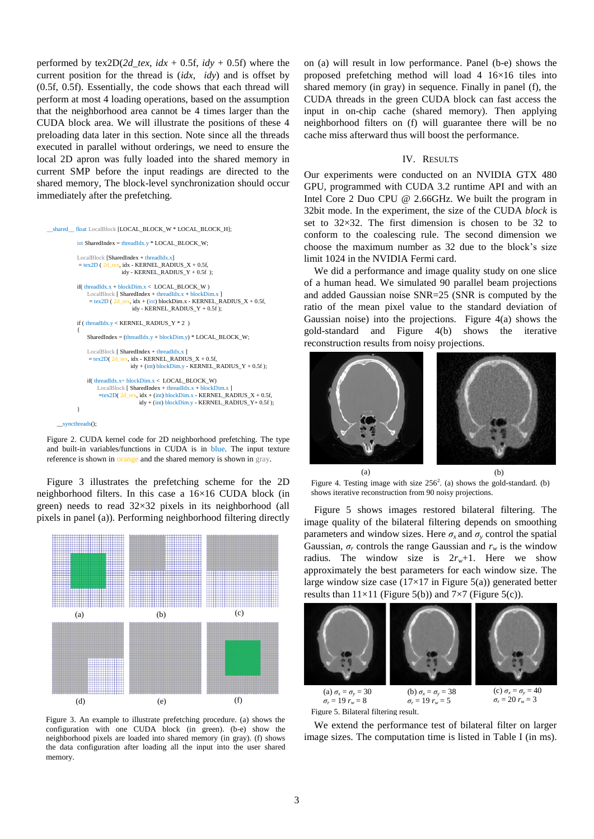performed by  $text{ex2D}(2d_{\text{z}} \cdot dx + 0.5f, \text{ idy} + 0.5f)$  where the current position for the thread is (*idx*, *idy*) and is offset by (0.5f, 0.5f). Essentially, the code shows that each thread will perform at most 4 loading operations, based on the assumption that the neighborhood area cannot be 4 times larger than the CUDA block area. We will illustrate the positions of these 4 preloading data later in this section. Note since all the threads executed in parallel without orderings, we need to ensure the local 2D apron was fully loaded into the shared memory in current SMP before the input readings are directed to the shared memory, The block-level synchronization should occur immediately after the prefetching.

```
__shared__ float LocalBlock [LOCAL_BLOCK_W * LOCAL_BLOCK_H]; 
      int SharedIndex = threadIdx.y * LOCAL_BLOCK_W;
      LocalBlock [SharedIndex + threadIdx.x] 
       = tex2D (2d_tex, idx - KERNEL_RADIUS_X + 0.5f,
                         idv - KERNFI. RADIUS Y + 0.5f );
      if( threadIdx.x + blockDim.x < LOGCAL BLOCK W )
          LocalBlock [ SharedIndex + threadIdx.x + blockDim.x ]
           = tex2D (2d_tex, idx + (int) blockDim.x - KERNEL_RADIUS_X + 0.5f,
                              idy - KERNEL_RADIUS_Y + 0.5f );
      if ( threadIdx.y < KERNEL_RADIUS_Y * 2 ) 
       {
          SharedIndex = (threadIdx.y + blockDim.y) * LOCAL_BLOCK_W;
          \operatorname{LocalBlock} [ \operatorname{SharedIndex} + threadIdx.
           = \frac{\text{teccanbock}}{2d} = \frac{\text{tracanbock}}{d} + \frac{\text{tracanbock}}{d} + 0.5f,
                             idy + (int) blockDim.y - KERNEL_RADIUS_Y + 0.5f);if( threadIdx.x+ blockDim.x < LOCAL_BLOCK_W)
               LocalBlock [ SharedIndex + threadIdx.x + blockDim.x ]<br>=tex2D( 2d_tex, idx + (int) blockDim.x - KERNEL_RADIUS_X + 0.5f,
                                idy + (int) blockDim.y - KERNEL_RADIUS_Y + 0.5f);}
syncthreads();
```
Figure 2. CUDA kernel code for 2D neighborhood prefetching. The type and built-in variables/functions in CUDA is in blue. The input texture reference is shown in orange and the shared memory is shown in gray.

Figure 3 illustrates the prefetching scheme for the 2D neighborhood filters. In this case a 16×16 CUDA block (in green) needs to read 32×32 pixels in its neighborhood (all pixels in panel (a)). Performing neighborhood filtering directly



Figure 3. An example to illustrate prefetching procedure. (a) shows the configuration with one CUDA block (in green). (b-e) show the neighborhood pixels are loaded into shared memory (in gray). (f) shows the data configuration after loading all the input into the user shared memory.

on (a) will result in low performance. Panel (b-e) shows the proposed prefetching method will load 4 16×16 tiles into shared memory (in gray) in sequence. Finally in panel (f), the CUDA threads in the green CUDA block can fast access the input in on-chip cache (shared memory). Then applying neighborhood filters on (f) will guarantee there will be no cache miss afterward thus will boost the performance.

# IV. RESULTS

Our experiments were conducted on an NVIDIA GTX 480 GPU, programmed with CUDA 3.2 runtime API and with an Intel Core 2 Duo CPU @ 2.66GHz. We built the program in 32bit mode. In the experiment, the size of the CUDA *block* is set to 32×32. The first dimension is chosen to be 32 to conform to the coalescing rule. The second dimension we choose the maximum number as 32 due to the block's size limit 1024 in the NVIDIA Fermi card.

We did a performance and image quality study on one slice of a human head. We simulated 90 parallel beam projections and added Gaussian noise SNR=25 (SNR is computed by the ratio of the mean pixel value to the standard deviation of Gaussian noise) into the projections. Figure 4(a) shows the gold-standard and Figure 4(b) shows the iterative reconstruction results from noisy projections.



Figure 4. Testing image with size  $256^2$ . (a) shows the gold-standard. (b) shows iterative reconstruction from 90 noisy projections. (a) (b)

Figure 5 shows images restored bilateral filtering. The image quality of the bilateral filtering depends on smoothing parameters and window sizes. Here  $\sigma_x$  and  $\sigma_y$  control the spatial Gaussian,  $\sigma_r$  controls the range Gaussian and  $r_w$  is the window radius. The window size is  $2r_w+1$ . Here we show approximately the best parameters for each window size. The large window size case  $(17\times17)$  in Figure 5(a)) generated better results than  $11\times11$  (Figure 5(b)) and  $7\times7$  (Figure 5(c)).



We extend the performance test of bilateral filter on larger image sizes. The computation time is listed in Table I (in ms).